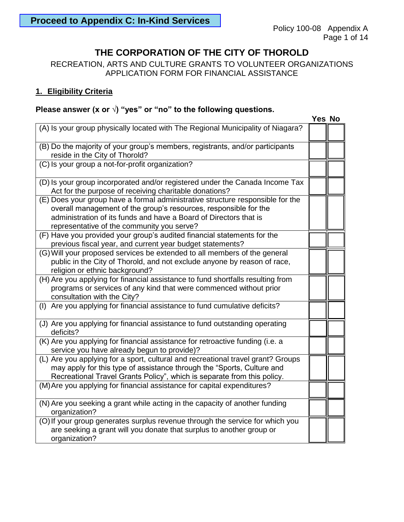# **THE CORPORATION OF THE CITY OF THOROLD**

RECREATION, ARTS AND CULTURE GRANTS TO VOLUNTEER ORGANIZATIONS APPLICATION FORM FOR FINANCIAL ASSISTANCE

### **1. Eligibility Criteria**

### **Please answer (x or √) "yes" or "no" to the following questions.**

|                                                                                                                                                                                                                                                                       | Yes No |  |
|-----------------------------------------------------------------------------------------------------------------------------------------------------------------------------------------------------------------------------------------------------------------------|--------|--|
| (A) Is your group physically located with The Regional Municipality of Niagara?                                                                                                                                                                                       |        |  |
| (B) Do the majority of your group's members, registrants, and/or participants<br>reside in the City of Thorold?                                                                                                                                                       |        |  |
| (C) Is your group a not-for-profit organization?                                                                                                                                                                                                                      |        |  |
| (D) Is your group incorporated and/or registered under the Canada Income Tax<br>Act for the purpose of receiving charitable donations?                                                                                                                                |        |  |
| (E) Does your group have a formal administrative structure responsible for the<br>overall management of the group's resources, responsible for the<br>administration of its funds and have a Board of Directors that is<br>representative of the community you serve? |        |  |
| (F) Have you provided your group's audited financial statements for the<br>previous fiscal year, and current year budget statements?                                                                                                                                  |        |  |
| (G) Will your proposed services be extended to all members of the general<br>public in the City of Thorold, and not exclude anyone by reason of race,<br>religion or ethnic background?                                                                               |        |  |
| (H) Are you applying for financial assistance to fund shortfalls resulting from<br>programs or services of any kind that were commenced without prior<br>consultation with the City?                                                                                  |        |  |
| (I) Are you applying for financial assistance to fund cumulative deficits?                                                                                                                                                                                            |        |  |
| (J) Are you applying for financial assistance to fund outstanding operating<br>deficits?                                                                                                                                                                              |        |  |
| (K) Are you applying for financial assistance for retroactive funding (i.e. a<br>service you have already begun to provide)?                                                                                                                                          |        |  |
| (L) Are you applying for a sport, cultural and recreational travel grant? Groups<br>may apply for this type of assistance through the "Sports, Culture and<br>Recreational Travel Grants Policy", which is separate from this policy.                                 |        |  |
| (M) Are you applying for financial assistance for capital expenditures?                                                                                                                                                                                               |        |  |
| (N) Are you seeking a grant while acting in the capacity of another funding<br>organization?                                                                                                                                                                          |        |  |
| (O) If your group generates surplus revenue through the service for which you<br>are seeking a grant will you donate that surplus to another group or<br>organization?                                                                                                |        |  |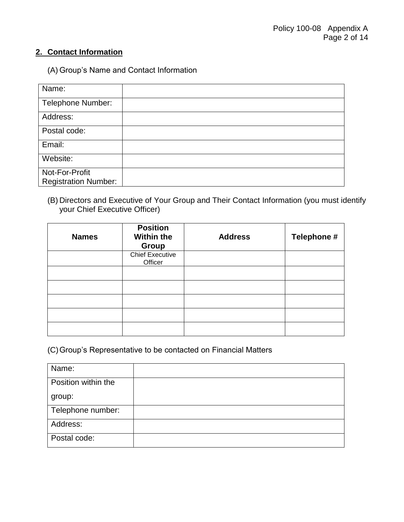## **2. Contact Information**

(A) Group's Name and Contact Information

| Name:                                         |  |
|-----------------------------------------------|--|
| Telephone Number:                             |  |
| Address:                                      |  |
| Postal code:                                  |  |
| Email:                                        |  |
| Website:                                      |  |
| Not-For-Profit<br><b>Registration Number:</b> |  |

(B) Directors and Executive of Your Group and Their Contact Information (you must identify your Chief Executive Officer)

| <b>Names</b> | <b>Position</b><br><b>Within the</b><br>Group | <b>Address</b> | Telephone # |
|--------------|-----------------------------------------------|----------------|-------------|
|              | <b>Chief Executive</b><br>Officer             |                |             |
|              |                                               |                |             |
|              |                                               |                |             |
|              |                                               |                |             |
|              |                                               |                |             |
|              |                                               |                |             |

(C) Group's Representative to be contacted on Financial Matters

| Name:               |  |
|---------------------|--|
| Position within the |  |
| group:              |  |
| Telephone number:   |  |
| Address:            |  |
| Postal code:        |  |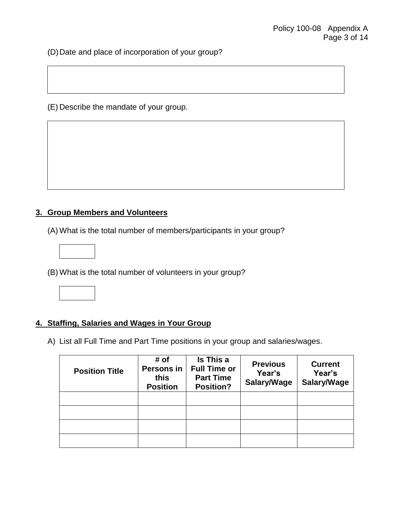(D) Date and place of incorporation of your group?

(E) Describe the mandate of your group.

## **3. Group Members and Volunteers**

(A) What is the total number of members/participants in your group?

(B) What is the total number of volunteers in your group?

### **4. Staffing, Salaries and Wages in Your Group**

A) List all Full Time and Part Time positions in your group and salaries/wages.

| <b>Position Title</b> | # of<br><b>Persons in</b><br>this<br><b>Position</b> | Is This a<br><b>Full Time or</b><br><b>Part Time</b><br><b>Position?</b> | <b>Previous</b><br>Year's<br>Salary/Wage | <b>Current</b><br>Year's<br>Salary/Wage |
|-----------------------|------------------------------------------------------|--------------------------------------------------------------------------|------------------------------------------|-----------------------------------------|
|                       |                                                      |                                                                          |                                          |                                         |
|                       |                                                      |                                                                          |                                          |                                         |
|                       |                                                      |                                                                          |                                          |                                         |
|                       |                                                      |                                                                          |                                          |                                         |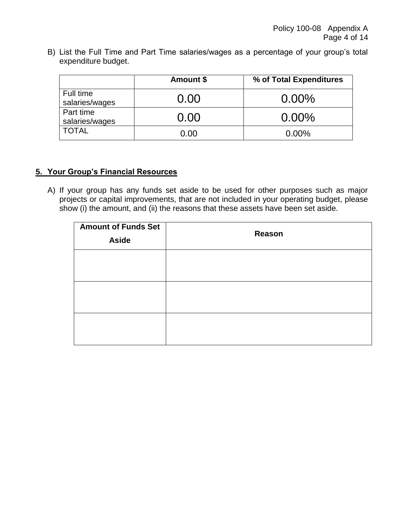B) List the Full Time and Part Time salaries/wages as a percentage of your group's total expenditure budget.

|                             | Amount \$ | % of Total Expenditures |
|-----------------------------|-----------|-------------------------|
| Full time<br>salaries/wages | 0.00      | $0.00\%$                |
| Part time<br>salaries/wages | 0.00      | $0.00\%$                |
| <b>TOTAL</b>                | 0.00      | $0.00\%$                |

## **5. Your Group's Financial Resources**

A) If your group has any funds set aside to be used for other purposes such as major projects or capital improvements, that are not included in your operating budget, please show (i) the amount, and (ii) the reasons that these assets have been set aside.

| <b>Amount of Funds Set</b><br><b>Aside</b> | Reason |
|--------------------------------------------|--------|
|                                            |        |
|                                            |        |
|                                            |        |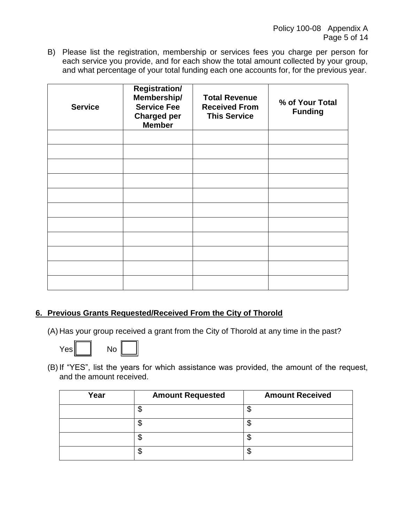B) Please list the registration, membership or services fees you charge per person for each service you provide, and for each show the total amount collected by your group, and what percentage of your total funding each one accounts for, for the previous year.

| <b>Service</b> | <b>Registration/</b><br>Membership/<br><b>Service Fee</b><br><b>Charged per</b><br><b>Member</b> | <b>Total Revenue</b><br><b>Received From</b><br><b>This Service</b> | % of Your Total<br><b>Funding</b> |
|----------------|--------------------------------------------------------------------------------------------------|---------------------------------------------------------------------|-----------------------------------|
|                |                                                                                                  |                                                                     |                                   |
|                |                                                                                                  |                                                                     |                                   |
|                |                                                                                                  |                                                                     |                                   |
|                |                                                                                                  |                                                                     |                                   |
|                |                                                                                                  |                                                                     |                                   |
|                |                                                                                                  |                                                                     |                                   |
|                |                                                                                                  |                                                                     |                                   |
|                |                                                                                                  |                                                                     |                                   |
|                |                                                                                                  |                                                                     |                                   |
|                |                                                                                                  |                                                                     |                                   |
|                |                                                                                                  |                                                                     |                                   |

## **6. Previous Grants Requested/Received From the City of Thorold**

(A) Has your group received a grant from the City of Thorold at any time in the past?





(B) If "YES", list the years for which assistance was provided, the amount of the request, and the amount received.

| Year | <b>Amount Requested</b> | <b>Amount Received</b> |
|------|-------------------------|------------------------|
|      | Ψ                       |                        |
|      | J                       |                        |
|      | ง                       |                        |
|      | Φ                       |                        |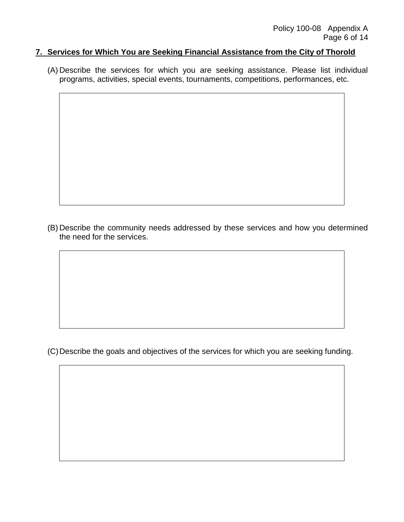### **7. Services for Which You are Seeking Financial Assistance from the City of Thorold**

(A) Describe the services for which you are seeking assistance. Please list individual programs, activities, special events, tournaments, competitions, performances, etc.

(B) Describe the community needs addressed by these services and how you determined the need for the services.

(C)Describe the goals and objectives of the services for which you are seeking funding.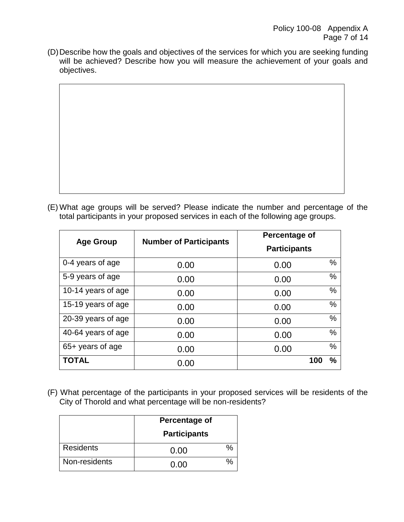(D) Describe how the goals and objectives of the services for which you are seeking funding will be achieved? Describe how you will measure the achievement of your goals and objectives.

(E) What age groups will be served? Please indicate the number and percentage of the total participants in your proposed services in each of the following age groups.

| <b>Age Group</b>   | <b>Number of Participants</b> | Percentage of<br><b>Participants</b> |               |
|--------------------|-------------------------------|--------------------------------------|---------------|
| 0-4 years of age   | 0.00                          | 0.00                                 | %             |
| 5-9 years of age   | 0.00                          | 0.00                                 | %             |
| 10-14 years of age | 0.00                          | 0.00                                 | $\%$          |
| 15-19 years of age | 0.00                          | 0.00                                 | %             |
| 20-39 years of age | 0.00                          | 0.00                                 | %             |
| 40-64 years of age | 0.00                          | 0.00                                 | $\frac{0}{0}$ |
| 65+ years of age   | 0.00                          | 0.00                                 | $\%$          |
| <b>TOTAL</b>       | 0.00                          | 100                                  | $\frac{0}{0}$ |

(F) What percentage of the participants in your proposed services will be residents of the City of Thorold and what percentage will be non-residents?

|                  | Percentage of<br><b>Participants</b> |   |
|------------------|--------------------------------------|---|
| <b>Residents</b> | 0.00                                 | % |
| Non-residents    | በ በበ                                 |   |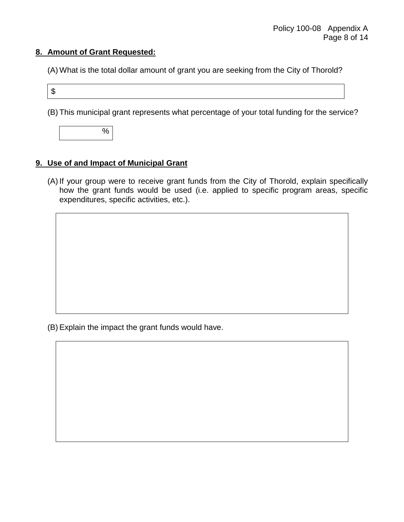### **8. Amount of Grant Requested:**

(A) What is the total dollar amount of grant you are seeking from the City of Thorold?

\$

(B) This municipal grant represents what percentage of your total funding for the service?



### **9. Use of and Impact of Municipal Grant**

(A) If your group were to receive grant funds from the City of Thorold, explain specifically how the grant funds would be used (i.e. applied to specific program areas, specific expenditures, specific activities, etc.).

(B) Explain the impact the grant funds would have.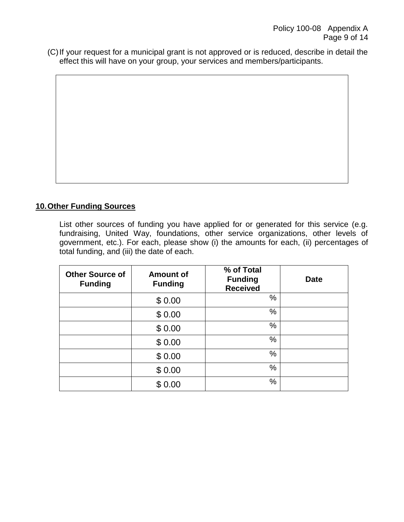(C)If your request for a municipal grant is not approved or is reduced, describe in detail the effect this will have on your group, your services and members/participants.

### **10.Other Funding Sources**

List other sources of funding you have applied for or generated for this service (e.g. fundraising, United Way, foundations, other service organizations, other levels of government, etc.). For each, please show (i) the amounts for each, (ii) percentages of total funding, and (iii) the date of each.

| <b>Other Source of</b><br><b>Funding</b> | <b>Amount of</b><br><b>Funding</b> | % of Total<br><b>Funding</b><br><b>Received</b> | <b>Date</b> |
|------------------------------------------|------------------------------------|-------------------------------------------------|-------------|
|                                          | \$0.00                             | $\%$                                            |             |
|                                          | \$0.00                             | $\%$                                            |             |
|                                          | \$0.00                             | $\frac{0}{0}$                                   |             |
|                                          | \$0.00                             | $\%$                                            |             |
|                                          | \$0.00                             | %                                               |             |
|                                          | \$0.00                             | %                                               |             |
|                                          | \$0.00                             | $\%$                                            |             |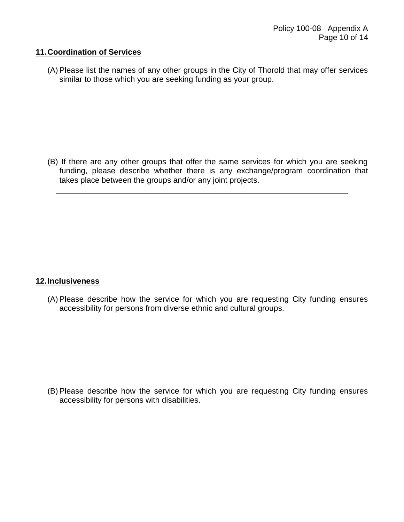#### **11.Coordination of Services**

(A) Please list the names of any other groups in the City of Thorold that may offer services similar to those which you are seeking funding as your group.

(B) If there are any other groups that offer the same services for which you are seeking funding, please describe whether there is any exchange/program coordination that takes place between the groups and/or any joint projects.

### **12.Inclusiveness**

(A) Please describe how the service for which you are requesting City funding ensures accessibility for persons from diverse ethnic and cultural groups.

(B) Please describe how the service for which you are requesting City funding ensures accessibility for persons with disabilities.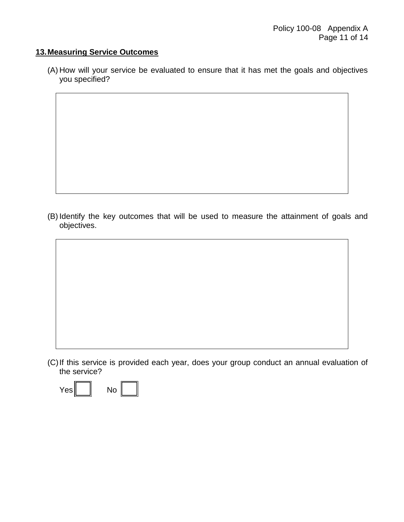### **13.Measuring Service Outcomes**

(A) How will your service be evaluated to ensure that it has met the goals and objectives you specified?

(B) Identify the key outcomes that will be used to measure the attainment of goals and objectives.



(C)If this service is provided each year, does your group conduct an annual evaluation of the service?

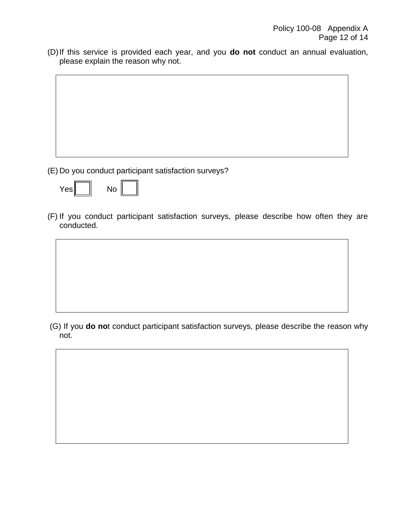(D)If this service is provided each year, and you **do not** conduct an annual evaluation, please explain the reason why not.

(E) Do you conduct participant satisfaction surveys?

| Yes∥<br>NO. |  |
|-------------|--|
|-------------|--|

(F) If you conduct participant satisfaction surveys, please describe how often they are conducted.

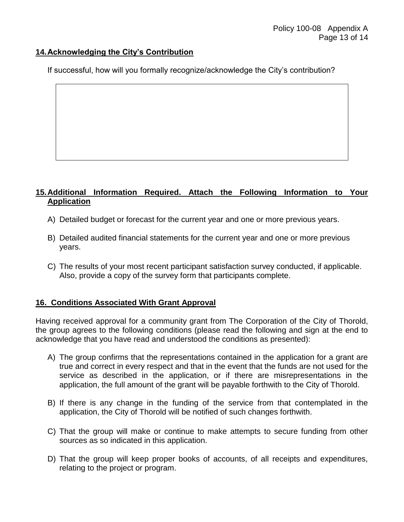### **14.Acknowledging the City's Contribution**

If successful, how will you formally recognize/acknowledge the City's contribution?

### **15.Additional Information Required. Attach the Following Information to Your Application**

- A) Detailed budget or forecast for the current year and one or more previous years.
- B) Detailed audited financial statements for the current year and one or more previous years.
- C) The results of your most recent participant satisfaction survey conducted, if applicable. Also, provide a copy of the survey form that participants complete.

### **16. Conditions Associated With Grant Approval**

Having received approval for a community grant from The Corporation of the City of Thorold, the group agrees to the following conditions (please read the following and sign at the end to acknowledge that you have read and understood the conditions as presented):

- A) The group confirms that the representations contained in the application for a grant are true and correct in every respect and that in the event that the funds are not used for the service as described in the application, or if there are misrepresentations in the application, the full amount of the grant will be payable forthwith to the City of Thorold.
- B) If there is any change in the funding of the service from that contemplated in the application, the City of Thorold will be notified of such changes forthwith.
- C) That the group will make or continue to make attempts to secure funding from other sources as so indicated in this application.
- D) That the group will keep proper books of accounts, of all receipts and expenditures, relating to the project or program.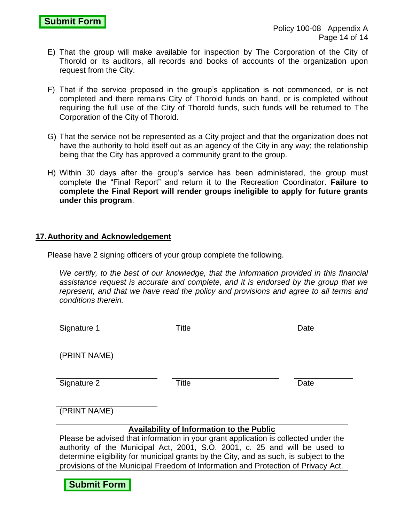- E) That the group will make available for inspection by The Corporation of the City of Thorold or its auditors, all records and books of accounts of the organization upon request from the City.
- F) That if the service proposed in the group's application is not commenced, or is not completed and there remains City of Thorold funds on hand, or is completed without requiring the full use of the City of Thorold funds, such funds will be returned to The Corporation of the City of Thorold.
- G) That the service not be represented as a City project and that the organization does not have the authority to hold itself out as an agency of the City in any way; the relationship being that the City has approved a community grant to the group.
- H) Within 30 days after the group's service has been administered, the group must complete the "Final Report" and return it to the Recreation Coordinator. **Failure to complete the Final Report will render groups ineligible to apply for future grants under this program**.

### **17.Authority and Acknowledgement**

*We certify, to the best of our knowledge, that the information provided in this financial assistance request is accurate and complete, and it is endorsed by the group that we represent, and that we have read the policy and provisions and agree to all terms and conditions therein.*

| <b>Submit Form</b>                                                                                                                                                                                                                                                                                                                               |                                                  |                      |           |
|--------------------------------------------------------------------------------------------------------------------------------------------------------------------------------------------------------------------------------------------------------------------------------------------------------------------------------------------------|--------------------------------------------------|----------------------|-----------|
|                                                                                                                                                                                                                                                                                                                                                  |                                                  | Policy 100-08 Append | Page 14 o |
| E) That the group will make available for inspection by The Corporation of the Cit<br>Thorold or its auditors, all records and books of accounts of the organization u<br>request from the City.                                                                                                                                                 |                                                  |                      |           |
| F) That if the service proposed in the group's application is not commenced, or is<br>completed and there remains City of Thorold funds on hand, or is completed with<br>requiring the full use of the City of Thorold funds, such funds will be returned to<br>Corporation of the City of Thorold.                                              |                                                  |                      |           |
| G) That the service not be represented as a City project and that the organization does<br>have the authority to hold itself out as an agency of the City in any way; the relation<br>being that the City has approved a community grant to the group.                                                                                           |                                                  |                      |           |
| H) Within 30 days after the group's service has been administered, the group not<br>complete the "Final Report" and return it to the Recreation Coordinator. Failure<br>complete the Final Report will render groups ineligible to apply for future gra<br>under this program.                                                                   |                                                  |                      |           |
| <b>. Authority and Acknowledgement</b>                                                                                                                                                                                                                                                                                                           |                                                  |                      |           |
| Please have 2 signing officers of your group complete the following.                                                                                                                                                                                                                                                                             |                                                  |                      |           |
| We certify, to the best of our knowledge, that the information provided in this finar<br>assistance request is accurate and complete, and it is endorsed by the group that<br>represent, and that we have read the policy and provisions and agree to all terms<br>conditions therein.                                                           |                                                  |                      |           |
| Signature 1                                                                                                                                                                                                                                                                                                                                      | Title                                            | Date                 |           |
| (PRINT NAME)                                                                                                                                                                                                                                                                                                                                     |                                                  |                      |           |
| Signature 2                                                                                                                                                                                                                                                                                                                                      | Title                                            | Date                 |           |
| (PRINT NAME)                                                                                                                                                                                                                                                                                                                                     |                                                  |                      |           |
|                                                                                                                                                                                                                                                                                                                                                  | <b>Availability of Information to the Public</b> |                      |           |
| Please be advised that information in your grant application is collected under the<br>authority of the Municipal Act, 2001, S.O. 2001, c. 25 and will be used to<br>determine eligibility for municipal grants by the City, and as such, is subject to the<br>provisions of the Municipal Freedom of Information and Protection of Privacy Act. |                                                  |                      |           |
| <b>Submit Form</b>                                                                                                                                                                                                                                                                                                                               |                                                  |                      |           |

### **Availability of Information to the Public**

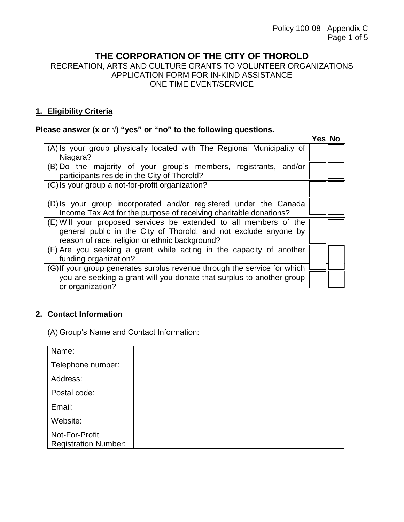# **THE CORPORATION OF THE CITY OF THOROLD**

RECREATION, ARTS AND CULTURE GRANTS TO VOLUNTEER ORGANIZATIONS APPLICATION FORM FOR IN-KIND ASSISTANCE ONE TIME EVENT/SERVICE

### **1. Eligibility Criteria**

### **Please answer (x or √) "yes" or "no" to the following questions.**

|                                                                                                                                                                                         | Yes No |  |
|-----------------------------------------------------------------------------------------------------------------------------------------------------------------------------------------|--------|--|
| (A) Is your group physically located with The Regional Municipality of<br>Niagara?                                                                                                      |        |  |
| (B) Do the majority of your group's members, registrants, and/or<br>participants reside in the City of Thorold?                                                                         |        |  |
| (C) Is your group a not-for-profit organization?                                                                                                                                        |        |  |
| (D) Is your group incorporated and/or registered under the Canada<br>Income Tax Act for the purpose of receiving charitable donations?                                                  |        |  |
| (E) Will your proposed services be extended to all members of the<br>general public in the City of Thorold, and not exclude anyone by<br>reason of race, religion or ethnic background? |        |  |
| (F) Are you seeking a grant while acting in the capacity of another<br>funding organization?                                                                                            |        |  |
| (G) If your group generates surplus revenue through the service for which<br>you are seeking a grant will you donate that surplus to another group<br>or organization?                  |        |  |

## **2. Contact Information**

(A) Group's Name and Contact Information:

| Name:                                         |  |
|-----------------------------------------------|--|
| Telephone number:                             |  |
| Address:                                      |  |
| Postal code:                                  |  |
| Email:                                        |  |
| Website:                                      |  |
| Not-For-Profit<br><b>Registration Number:</b> |  |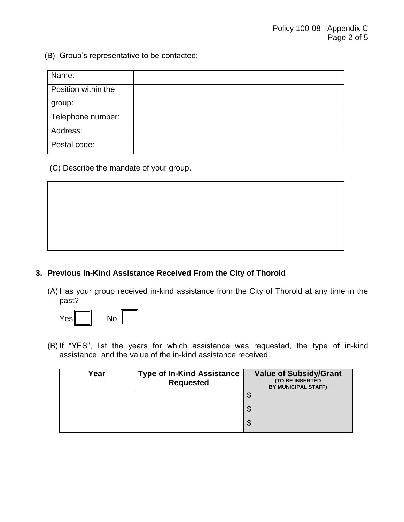(B) Group's representative to be contacted:

| Name:               |  |
|---------------------|--|
| Position within the |  |
| group:              |  |
| Telephone number:   |  |
| Address:            |  |
| Postal code:        |  |

(C) Describe the mandate of your group.

## **3. Previous In-Kind Assistance Received From the City of Thorold**

(A) Has your group received in-kind assistance from the City of Thorold at any time in the past?



(B) If "YES", list the years for which assistance was requested, the type of in-kind assistance, and the value of the in-kind assistance received.

| Year | <b>Type of In-Kind Assistance</b><br><b>Requested</b> | <b>Value of Subsidy/Grant</b><br><b>(TO BE INSERTED</b><br><b>BY MUNICIPAL STAFF)</b> |
|------|-------------------------------------------------------|---------------------------------------------------------------------------------------|
|      |                                                       | ง                                                                                     |
|      |                                                       | J                                                                                     |
|      |                                                       | ง                                                                                     |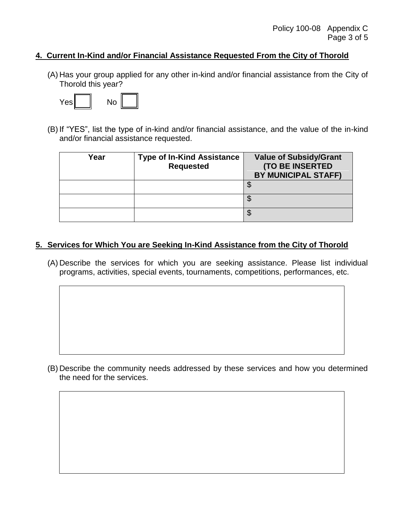### **4. Current In-Kind and/or Financial Assistance Requested From the City of Thorold**

(A) Has your group applied for any other in-kind and/or financial assistance from the City of Thorold this year?



(B) If "YES", list the type of in-kind and/or financial assistance, and the value of the in-kind and/or financial assistance requested.

| Year | <b>Type of In-Kind Assistance</b><br><b>Requested</b> | <b>Value of Subsidy/Grant</b><br><b>(TO BE INSERTED</b><br><b>BY MUNICIPAL STAFF)</b> |
|------|-------------------------------------------------------|---------------------------------------------------------------------------------------|
|      |                                                       | \$                                                                                    |
|      |                                                       | \$                                                                                    |
|      |                                                       | \$                                                                                    |

### **5. Services for Which You are Seeking In-Kind Assistance from the City of Thorold**

(A) Describe the services for which you are seeking assistance. Please list individual programs, activities, special events, tournaments, competitions, performances, etc.

(B) Describe the community needs addressed by these services and how you determined the need for the services.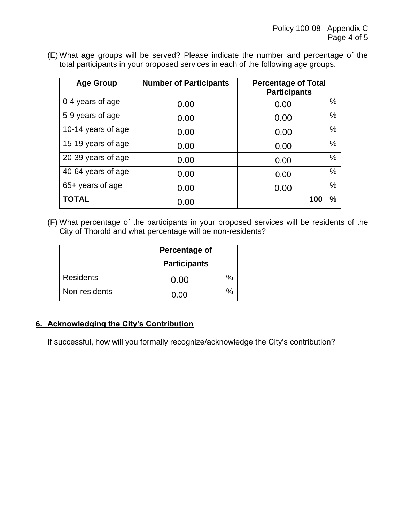| <b>Age Group</b>   | <b>Number of Participants</b> | <b>Percentage of Total</b><br><b>Participants</b> |
|--------------------|-------------------------------|---------------------------------------------------|
| 0-4 years of age   | 0.00                          | %<br>0.00                                         |
| 5-9 years of age   | 0.00                          | %<br>0.00                                         |
| 10-14 years of age | 0.00                          | $\%$<br>0.00                                      |
| 15-19 years of age | 0.00                          | %<br>0.00                                         |
| 20-39 years of age | 0.00                          | %<br>0.00                                         |
| 40-64 years of age | 0.00                          | $\%$<br>0.00                                      |
| 65+ years of age   | 0.00                          | %<br>0.00                                         |
| TOTAL              | 0.00                          | %<br>100                                          |

(E) What age groups will be served? Please indicate the number and percentage of the total participants in your proposed services in each of the following age groups.

(F) What percentage of the participants in your proposed services will be residents of the City of Thorold and what percentage will be non-residents?

|                  | Percentage of<br><b>Participants</b> |   |
|------------------|--------------------------------------|---|
| <b>Residents</b> | 0.00                                 | ℅ |
| Non-residents    | ი იი                                 |   |

### **6. Acknowledging the City's Contribution**

If successful, how will you formally recognize/acknowledge the City's contribution?